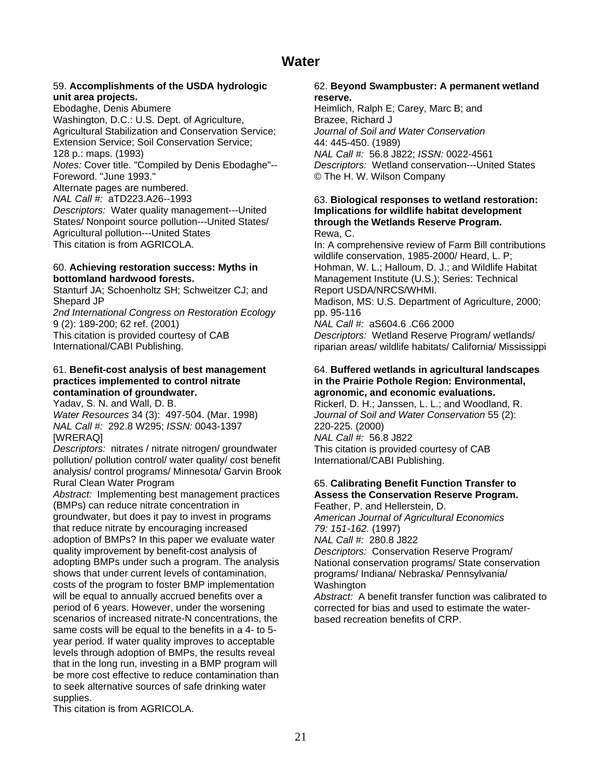## **unit area projects. reserve.**

Ebodaghe, Denis Abumere **Heimlich, Ralph E; Carey, Marc B**; and Washington, D.C.: U.S. Dept. of Agriculture, Brazee, Richard J Agricultural Stabilization and Conservation Service; *Journal of Soil and Water Conservation* Extension Service; Soil Conservation Service; 44: 445-450. (1989)<br>128 p.: maps. (1993) MAL Call #: 56.8 J8 *Notes:* Cover title. "Compiled by Denis Ebodaghe"-- *Descriptors:* Wetland conservation---United States Foreword. "June 1993." © The H. W. Wilson Company Alternate pages are numbered. *NAL Call #:* aTD223.A26--1993 63. **Biological responses to wetland restoration:**  *Descriptors:* Water quality management---United **Implications for wildlife habitat development**  Agricultural pollution---United States Rewa, C.

Stanturf JA; Schoenholtz SH; Schweitzer CJ; and Report USDA/NRCS/WHMI.

2nd International Congress on Restoration Ecology pp. 95-116 9 (2): 189-200; 62 ref. (2001) *NAL Call #:* aS604.6 .C66 2000

### **practices implemented to control nitrate in the Prairie Pothole Region: Environmental, contamination of groundwater. agronomic, and economic evaluations.**

*Water Resources* 34 (3): 497-504. (Mar. 1998) *Journal of Soil and Water Conservation* 55 (2): *NAL Call #:* 292.8 W295; *ISSN:* 0043-1397 220-225. (2000) [WRERAQ] *NAL Call #:* 56.8 J822

*Descriptors:* nitrates / nitrate nitrogen/ groundwater This citation is provided courtesy of CAB pollution/ pollution control/ water quality/ cost benefit International/CABI Publishing. analysis/ control programs/ Minnesota/ Garvin Brook Rural Clean Water Program 65. **Calibrating Benefit Function Transfer to** 

*Abstract:* Implementing best management practices **Assess the Conservation Reserve Program.**  (BMPs) can reduce nitrate concentration in Feather, P. and Hellerstein, D. groundwater, but does it pay to invest in programs *American Journal of Agricultural Economics*  that reduce nitrate by encouraging increased *79: 151-162.* (1997) adoption of BMPs? In this paper we evaluate water *NAL Call #:* 280.8 J822 quality improvement by benefit-cost analysis of *Descriptors:* Conservation Reserve Program/<br>adopting BMPs under such a program. The analysis National conservation programs/ State conserv shows that under current levels of contamination, programs/ Indiana/ Nebraska/ Pennsylvania/ costs of the program to foster BMP implementation Washington<br>will be equal to annually accrued benefits over a Abstract: A period of 6 years. However, under the worsening corrected for bias and used to estimate the waterscenarios of increased nitrate-N concentrations, the based recreation benefits of CRP. same costs will be equal to the benefits in a 4- to 5 year period. If water quality improves to acceptable levels through adoption of BMPs, the results reveal that in the long run, investing in a BMP program will be more cost effective to reduce contamination than to seek alternative sources of safe drinking water supplies.

## 59. **Accomplishments of the USDA hydrologic** 62. **Beyond Swampbuster: A permanent wetland**

128 p.: maps. (1993) *NAL Call #:* 56.8 J822; *ISSN:* 0022-4561

# through the Wetlands Reserve Program.

This citation is from AGRICOLA. In: A comprehensive review of Farm Bill contributions wildlife conservation, 1985-2000/ Heard, L. P; 60. **Achieving restoration success: Myths in** Hohman, W. L.; Halloum, D. J.; and Wildlife Habitat **bottomland hardwood forests. Management Institute (U.S.); Series: Technical** Shepard JP **Madison, MS: U.S. Department of Agriculture**, 2000;

This citation is provided courtesy of CAB *Descriptors:* Wetland Reserve Program/ wetlands/<br>
International/CABI Publishing. **The international** riparian areas/ wildlife habitats/ California/ Mississip riparian areas/ wildlife habitats/ California/ Mississippi

## 61. **Benefit-cost analysis of best management** 64. **Buffered wetlands in agricultural landscapes**

Yadav, S. N. and Wall, D. B. The Music Communication of Rickerl, D. H.; Janssen, L. L.; and Woodland, R.

National conservation programs/ State conservation

Abstract: A benefit transfer function was calibrated to

This citation is from AGRICOLA.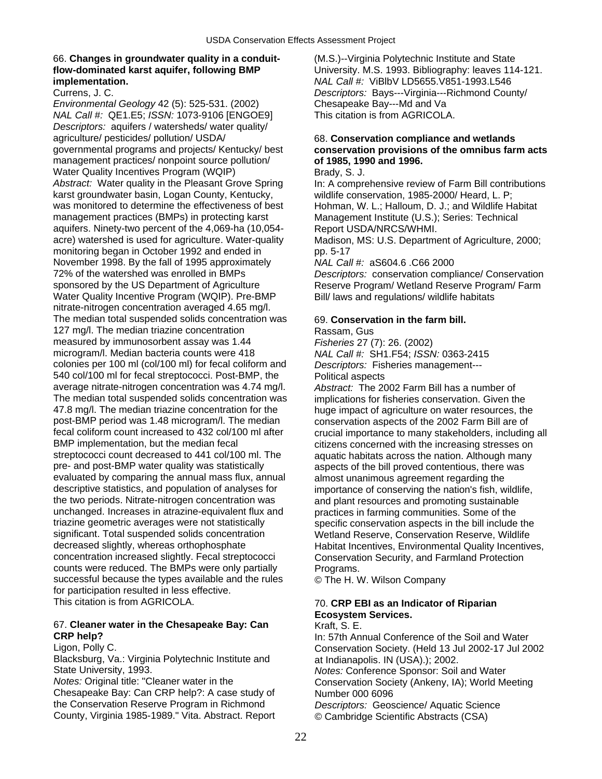### 66. **Changes in groundwater quality in a conduit-** (M.S.)--Virginia Polytechnic Institute and State **implementation.** *NAL Call #:* ViBlbV LD5655.V851-1993.L546

*Environmental Geology* 42 (5): 525-531. (2002) Chesapeake Bay---Md and Va *NAL Call #:* QE1.E5; *ISSN:* 1073-9106 [ENGOE9] This citation is from AGRICOLA. *Descriptors:* aquifers / watersheds/ water quality/ agriculture/ pesticides/ pollution/ USDA/ 68. **Conservation compliance and wetlands**  management practices/ nonpoint source pollution/ **of 1985, 1990 and 1996.**  Water Quality Incentives Program (WQIP) Brady, S. J. Abstract: Water quality in the Pleasant Grove Spring In: A comprehensive review of Farm Bill contributions karst groundwater basin, Logan County, Kentucky, wildlife conservation, 1985-2000/ Heard, L. P; was monitored to determine the effectiveness of best Hohman, W. L.; Halloum, D. J.; and Wildlife Habitat management practices (BMPs) in protecting karst Management Institute (U.S.); Series: Technical aquifers. Ninety-two percent of the 4,069-ha (10,054- Report USDA/NRCS/WHMI. acre) watershed is used for agriculture. Water-quality Madison, MS: U.S. Department of Agriculture, 2000; monitoring began in October 1992 and ended in pp. 5-17 November 1998. By the fall of 1995 approximately *NAL Call #:* aS604.6 .C66 2000 72% of the watershed was enrolled in BMPs *Descriptors:* conservation compliance/ Conservation sponsored by the US Department of Agriculture Reserve Program/ Wetland Reserve Program/ Farm Water Quality Incentive Program (WQIP). Pre-BMP Bill/ laws and regulations/ wildlife habitats nitrate-nitrogen concentration averaged 4.65 mg/l. The median total suspended solids concentration was 69. **Conservation in the farm bill.**  127 mg/l. The median triazine concentration Rassam, Gus measured by immunosorbent assay was 1.44 *Fisheries* 27 (7): 26. (2002) microgram/l. Median bacteria counts were 418 *NAL Call #:* SH1.F54; *ISSN:* 0363-2415 colonies per 100 ml (col/100 ml) for fecal coliform and *Descriptors:* Fisheries management--- 540 col/100 ml for fecal streptococci. Post-BMP, the Political aspects average nitrate-nitrogen concentration was 4.74 mg/l. *Abstract:* The 2002 Farm Bill has a number of The median total suspended solids concentration was implications for fisheries conservation. Given the 47.8 mg/l. The median triazine concentration for the huge impact of agriculture on water resources, the 47.8 mg/l. The median triazine concentration for the huge impact of agriculture on water resources, the post-BMP period was 1.48 microgram/l. The median conservation aspects of the 2002 Farm Bill are of post-BMP period was 1.48 microgram/l. The median conservation aspects of the 2002 Farm Bill are of the 2002 Farm Bill are of the 2002 Farm Bill are of the 2002 Farm Bill are of the 2002 Farm Bill are of the 2002 Farm Bill fecal coliform count increased to 432 col/100 ml after exercial importance to many stakeholders, including all<br>BMP implementation, but the median fecal exercic exitizens concerned with the increasing stresses on BMP implementation, but the median fecal example in the citizens concerned with the increasing stresses on streptococci count decreased to 441 col/100 ml. The aquatic habitats across the nation. Although many pre- and post-BMP water quality was statistically aspects of the bill proved contentious, there was evaluated by comparing the annual mass flux, annual almost unanimous agreement regarding the descriptive statistics, and population of analyses for importance of conserving the nation's fish w the two periods. Nitrate-nitrogen concentration was and plant resources and promoting sustainable unchanged. Increases in atrazine-equivalent flux and practices in farming communities. Some of the triazine geometric averages were not statistically specific conservation aspects in the bill include the<br>significant. Total suspended solids concentration Wetland Reserve. Conservation Reserve. Wildlife significant. Total suspended solids concentration Wetland Reserve, Conservation Reserve, Wildlife<br>decreased slightly, whereas orthophosphate Habitat Incentives. Environmental Quality Incentive concentration increased slightly. Fecal streptococci Conservation Security, and Farmland Protection counts were reduced. The BMPs were only partially Programs. successful because the types available and the rules  $\circ$  The H. W. Wilson Company for participation resulted in less effective.<br>This citation is from AGRICOLA.

### 67. **Cleaner water in the Chesapeake Bay: Can** Kraft, S. E. **CRP help?** In: 57th Annual Conference of the Soil and Water

Blacksburg, Va.: Virginia Polytechnic Institute and at Indianapolis. IN (USA).); 2002.<br>State University, 1993. **At August 2008.** Notes: Conference Sponsor: Soil

Chesapeake Bay: Can CRP help?: A case study of Number 000 6096 the Conservation Reserve Program in Richmond *Descriptors:* Geoscience/ Aquatic Science County, Virginia 1985-1989." Vita. Abstract. Report © Cambridge Scientific Abstracts (CSA)

**flow-dominated karst aquifer, following BMP** University. M.S. 1993. Bibliography: leaves 114-121. Currens, J. C. *Descriptors:* Bays---Virginia---Richmond County/

# governmental programs and projects/ Kentucky/ best **conservation provisions of the omnibus farm acts**

aquatic habitats across the nation. Although many importance of conserving the nation's fish, wildlife, Habitat Incentives, Environmental Quality Incentives,

### **70. CRP EBI as an Indicator of Riparian Ecosystem Services.**

Ligon, Polly C. Conservation Society. (Held 13 Jul 2002-17 Jul 2002 State University, 1993. *Notes:* Conference Sponsor: Soil and Water Conservation Society (Ankeny, IA); World Meeting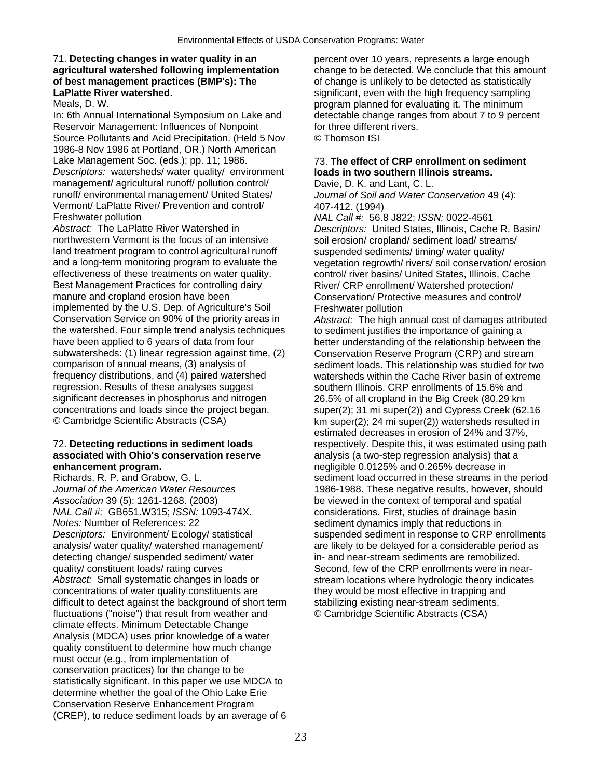## 71. **Detecting changes in water quality in an** percent over 10 years, represents a large enough **of best management practices (BMP's): The** of change is unlikely to be detected as statistically<br> **LaPlatte River watershed.** But provided a significant, even with the high frequency sampling

In: 6th Annual International Symposium on Lake and detectable change ranges from about 7 to 9 percent Reservoir Management: Influences of Nonpoint for three different rivers. Source Pollutants and Acid Precipitation. (Held 5 Nov © Thomson ISI 1986-8 Nov 1986 at Portland, OR.) North American Lake Management Soc. (eds.); pp. 11; 1986. 73. **The effect of CRP enrollment on sediment**  *Descriptors:* watersheds/ water quality/ environment **loads in two southern Illinois streams.**  management/ agricultural runoff/ pollution control/ Davie, D. K. and Lant, C. L.<br>
runoff/ environmental management/ United States/ Journal of Soil and Water C Vermont/ LaPlatte River/ Prevention and control/ 407-412. (1994)<br>Freshwater pollution MAL Call #: 56.8

northwestern Vermont is the focus of an intensive soil erosion/ cropland/ sediment load/ streams/ land treatment program to control agricultural runoff suspended sediments/ timing/ water quality/ effectiveness of these treatments on water quality. control/ river basins/ United States, Illinois, Cache Best Management Practices for controlling dairy River/ CRP enrollment/ Watershed protection/ manure and cropland erosion have been Conservation/ Protective measures and control/ implemented by the U.S. Dep. of Agriculture's Soil Freshwater pollution<br>Conservation Service on 90% of the priority areas in *Abstract:* The high a the watershed. Four simple trend analysis techniques to sediment justifies the importance of gaining a<br>have been applied to 6 years of data from four<br>better understanding of the relationship between have been applied to 6 years of data from four better understanding of the relationship between the<br>subwatersheds: (1) linear regression against time, (2) Conservation Reserve Program (CRP) and stream subwatersheds: (1) linear regression against time, (2) Conservation Reserve Program (CRP) and stream<br>comparison of annual means, (3) analysis of sediment loads. This relationship was studied for tw comparison of annual means, (3) analysis of sediment loads. This relationship was studied for two<br>
frequency distributions, and (4) paired watershed watersheds within the Cache River basin of extreme frequency distributions, and (4) paired watershed watersheds within the Cache River basin of extreme<br>
regression, Results of these analyses suggest<br>
southern Illinois, CRP enrollments of 15.6% and regression. Results of these analyses suggest southern Illinois. CRP enrollments of 15.6% and<br>significant decreases in phosphorus and nitrogen 26.5% of all cropland in the Big Creek (80.29 km concentrations and loads since the project began. super(2); 31 mi super(2)) and Cypress Creek (62.16<br>© Cambridge Scientific Abstracts (CSA) km super(2): 24 mi super(2)) watersheds resulted in

# **enhancement program.** negligible 0.0125% and 0.265% decrease in

*Journal of the American Water Resources* 1986-1988. These negative results, however, should *NAL Call #:* GB651.W315; *ISSN:* 1093-474X. considerations. First, studies of drainage basin *Notes:* Number of References: 22 sediment dynamics imply that reductions in analysis/ water quality/ watershed management/ are likely to be delayed for a considerable period as<br>detecting change/ suspended sediment/ water in- and near-stream sediments are remobilized. quality/ constituent loads/ rating curves Second, few of the CRP enrollments were in near-Abstract: Small systematic changes in loads or stream locations where hydrologic theory indicates concentrations of water quality constituents are they would be most effective in trapping and difficult to detect against the background of short term stabilizing existing near-stream sediments. fluctuations ("noise") that result from weather and © Cambridge Scientific Abstracts (CSA) climate effects. Minimum Detectable Change Analysis (MDCA) uses prior knowledge of a water quality constituent to determine how much change must occur (e.g., from implementation of conservation practices) for the change to be statistically significant. In this paper we use MDCA to determine whether the goal of the Ohio Lake Erie Conservation Reserve Enhancement Program (CREP), to reduce sediment loads by an average of 6

**agricultural watershed following implementation** change to be detected. We conclude that this amount of best management practices (BMP's): The contraction of change is unlikely to be detected as statistically significant, even with the high frequency sampling Meals, D. W. program planned for evaluating it. The minimum

Journal of Soil and Water Conservation 49 (4):

Freshwater pollution *NAL Call #:* 56.8 J822; *ISSN:* 0022-4561 *Descriptors:* United States, Illinois, Cache R. Basin/ and a long-term monitoring program to evaluate the vegetation regrowth/ rivers/ soil conservation/ erosion

Abstract: The high annual cost of damages attributed 26.5% of all cropland in the Big Creek (80.29 km  $km super(2); 24 mi super(2))$  watersheds resulted in estimated decreases in erosion of 24% and 37%, 72. **Detecting reductions in sediment loads** respectively. Despite this, it was estimated using path **associated with Ohio's conservation reserve** analysis (a two-step regression analysis) that a analysis (a two-step regression analysis) that a Richards, R. P. and Grabow, G. L. Sediment load occurred in these streams in the period be viewed in the context of temporal and spatial *Descriptors:* Environment/ Ecology/ statistical suspended sediment in response to CRP enrollments in- and near-stream sediments are remobilized.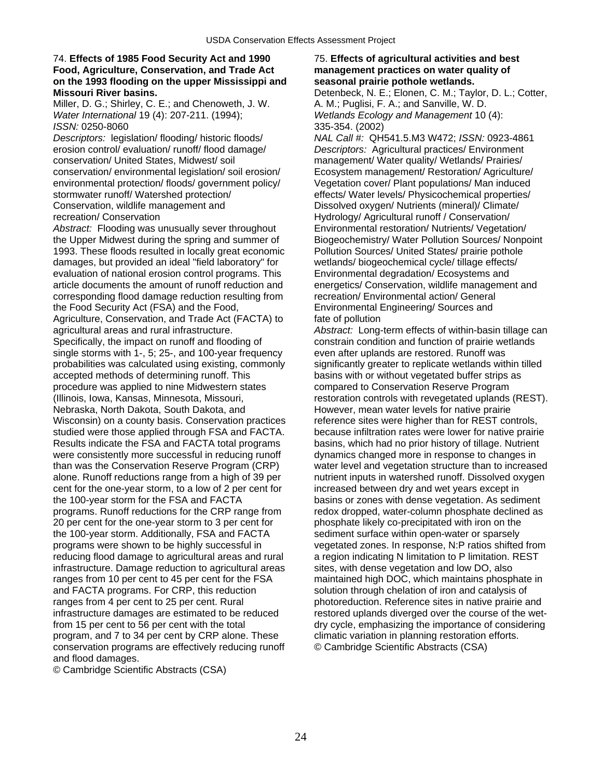### 74. **Effects of 1985 Food Security Act and 1990** 75. **Effects of agricultural activities and best Food, Agriculture, Conservation, and Trade Act management practices on water quality of on the 1993 flooding on the upper Mississippi and seasonal prairie pothole wetlands. Missouri River basins. Detenbeck, N. E.; Elonen, C. M.; Taylor, D. L.; Cotter,** D. L.; Cotter,

Miller, D. G.; Shirley, C. E.; and Chenoweth, J. W. A. M.; Puglisi, F. A.; and Sanville, W. D. *Water International* 19 (4): 207-211. (1994); *Wetlands Ecology and Management* 10 (4): *ISSN:* 0250-8060 335-354. (2002)

*Descriptors:* legislation/ flooding/ historic floods/ *NAL Call #:* QH541.5.M3 W472; *ISSN:* 0923-4861 erosion control/ evaluation/ runoff/ flood damage/ *Descriptors:* Agricultural practices/ Environment conservation/ United States, Midwest/ soil management/ Water quality/ Wetlands/ Prairies/ conservation/ environmental legislation/ soil erosion/ Ecosystem management/ Restoration/ Agriculture/ environmental protection/ floods/ government policy/ Vegetation cover/ Plant populations/ Man induced stormwater runoff/ Watershed protection/ effects/ Water levels/ Physicochemical properties/ Conservation, wildlife management and Dissolved oxygen/ Nutrients (mineral)/ Climate/<br>
Hydrology/ Agricultural runoff / Conservation/

*Abstract:* Flooding was unusually sever throughout Environmental restoration/ Nutrients/ Vegetation/ the Upper Midwest during the spring and summer of Biogeochemistry/ Water Pollution Sources/ Nonpoint 1993. These floods resulted in locally great economic Pollution Sources/ United States/ prairie pothole damages, but provided an ideal "field laboratory" for wetlands/ biogeochemical cycle/ tillage effects/ evaluation of national erosion control programs. This Environmental degradation/ Ecosystems and article documents the amount of runoff reduction and energetics/ Conservation, wildlife management and corresponding flood damage reduction resulting from recreation/ Environmental action/ General the Food Security Act (FSA) and the Food, Environmental Engineering/ Sources and Agriculture, Conservation, and Trade Act (FACTA) to fate of pollution agricultural areas and rural infrastructure. *Abstract:* Long-term effects of within-basin tillage can Specifically, the impact on runoff and flooding of constrain condition and function of prairie wetlands single storms with 1-, 5; 25-, and 100-year frequency even after uplands are restored. Runoff was probabilities was calculated using existing, commonly significantly greater to replicate wetlands within tilled accepted methods of determining runoff. This basins with or without vegetated buffer strips as procedure was applied to nine Midwestern states compared to Conservation Reserve Program (Illinois, Iowa, Kansas, Minnesota, Missouri, restoration controls with revegetated uplands (REST). Nebraska, North Dakota, South Dakota, and However, mean water levels for native prairie Wisconsin) on a county basis. Conservation practices reference sites were higher than for REST controls, studied were those applied through FSA and FACTA. because infiltration rates were lower for native prairie Results indicate the FSA and FACTA total programs basins, which had no prior history of tillage. Nutrient were consistently more successful in reducing runoff dynamics changed more in response to changes in than was the Conservation Reserve Program (CRP) water level and vegetation structure than to increased alone. Runoff reductions range from a high of 39 per nutrient inputs in watershed runoff. Dissolved oxygen cent for the one-year storm, to a low of 2 per cent for increased between dry and wet years except in the 100-year storm for the FSA and FACTA basins or zones with dense vegetation. As sediment programs. Runoff reductions for the CRP range from redox dropped, water-column phosphate declined as 20 per cent for the one-year storm to 3 per cent for phosphate likely co-precipitated with iron on the the 100-year storm. Additionally, FSA and FACTA sediment surface within open-water or sparsely programs were shown to be highly successful in vegetated zones. In response, N:P ratios shifted from reducing flood damage to agricultural areas and rural a region indicating N limitation to P limitation. REST infrastructure. Damage reduction to agricultural areas sites, with dense vegetation and low DO, also ranges from 10 per cent to 45 per cent for the FSA maintained high DOC, which maintains phosphate in and FACTA programs. For CRP, this reduction solution through chelation of iron and catalysis of ranges from 4 per cent to 25 per cent. Rural photoreduction. Reference sites in native prairie and infrastructure damages are estimated to be reduced restored uplands diverged over the course of the wetfrom 15 per cent to 56 per cent with the total dry cycle, emphasizing the importance of considering program, and 7 to 34 per cent by CRP alone. These climatic variation in planning restoration efforts. conservation programs are effectively reducing runoff © Cambridge Scientific Abstracts (CSA) and flood damages.

© Cambridge Scientific Abstracts (CSA)

Hydrology/ Agricultural runoff / Conservation/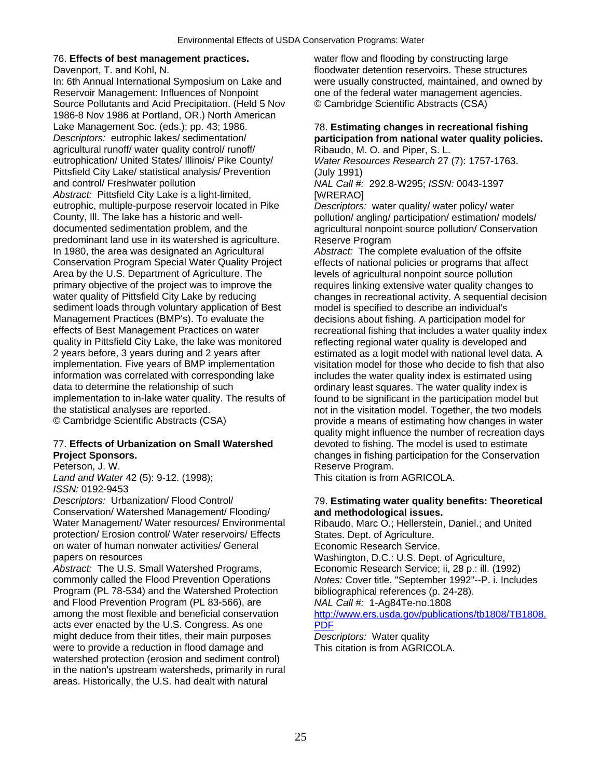In: 6th Annual International Symposium on Lake and were usually constructed, maintained, and owned by<br>Reservoir Management: Influences of Nonpoint one of the federal water management agencies. Source Pollutants and Acid Precipitation. (Held 5 Nov © Cambridge Scientific Abstracts (CSA) 1986-8 Nov 1986 at Portland, OR.) North American Lake Management Soc. (eds.); pp. 43; 1986. 78. **Estimating changes in recreational fishing**  *Descriptors:* eutrophic lakes/ sedimentation/ **participation from national water quality policies.**  agricultural runoff/ water quality control/ runoff/ **Ribaudo, M. O. and Piper, S. L.**<br>
eutrophication/ United States/ Illinois/ Pike County/ *Water Resources Research* 27 Pittsfield City Lake/ statistical analysis/ Prevention (July 1991) and control/ Freshwater pollution *NAL Call #:* 292.8-W295; *ISSN:* 0043-1397 Abstract: Pittsfield City Lake is a light-limited, **INGLAO** [WRERAO] eutrophic, multiple-purpose reservoir located in Pike *Descriptors:* water quality/ water policy/ water County, Ill. The lake has a historic and well-<br>
documented sedimentation problem, and the entity and analytical nonpoint source pollution/ Conservation predominant land use in its watershed is agriculture. Reserve Program In 1980, the area was designated an Agricultural *Abstract:* The complete evaluation of the offsite Conservation Program Special Water Quality Project effects of national policies or programs that affect Area by the U.S. Department of Agriculture. The levels of agricultural nonpoint source pollution primary objective of the project was to improve the requires linking extensive water quality changes to water quality of Pittsfield City Lake by reducing changes in recreational activity. A sequential decision sediment loads through voluntary application of Best model is specified to describe an individual's sediment loads through voluntary application of Best Management Practices (BMP's). To evaluate the decisions about fishing. A participation model for<br>effects of Best Management Practices on water recreational fishing that includes a water quality in quality in Pittsfield City Lake, the lake was monitored reflecting regional water quality is developed and 2 years before, 3 years during and 2 years after estimated as a logit model with national level data. A implementation extinated as a logit model with national level data. A information was correlated with corresponding lake includes the water quality index is estimated using data to determine the relationship of such ordinary least squares. The water quality index is<br>
implementation to in-lake water quality. The results of found to be significant in the participation model b the statistical analyses are reported. The visitation model. Together, the two models

## 77. **Effects of Urbanization on Small Watershed** devoted to fishing. The model is used to estimate

*Land and Water* 42 (5): 9-12. (1998); This citation is from AGRICOLA. *ISSN:* 0192-9453

*Descriptors:* Urbanization/ Flood Control/ 79. **Estimating water quality benefits: Theoretical**  Conservation/ Watershed Management/ Flooding/ **and methodological issues.**  Water Management/ Water resources/ Environmental Ribaudo, Marc O.; Hellerstein, Daniel.; and United protection/ Erosion control/ Water reservoirs/ Effects States. Dept. of Agriculture. on water of human nonwater activities/ General Economic Research Service. papers on resources Washington, D.C.: U.S. Dept. of Agriculture,

Abstract: The U.S. Small Watershed Programs, Economic Research Service; ii, 28 p.: ill. (1992)<br>commonly called the Flood Prevention Operations Motes: Cover title. "September 1992"--P. i. Inclue Program (PL 78-534) and the Watershed Protection bibliographical references (p. 24-28). and Flood Prevention Program (PL 83-566), are *NAL Call #:* 1-Ag84Te-no.1808<br>among the most flexible and beneficial conservation http://www.ers.usda.gov/publica acts ever enacted by the U.S. Congress. As one [PDF](http://www.ers.usda.gov/publications/tb1808/TB1808.PDF) might deduce from their titles, their main purposes *Descriptors:* Water quality were to provide a reduction in flood damage and This citation is from AGRICOLA. watershed protection (erosion and sediment control) in the nation's upstream watersheds, primarily in rural areas. Historically, the U.S. had dealt with natural

76. **Effects of best management practices.** water flow and flooding by constructing large Davenport, T. and Kohl, N. floodwater detention reservoirs. These structures<br>
In: 6th Annual International Symposium on Lake and were usually constructed, maintained, and owned one of the federal water management agencies.

Water Resources Research 27 (7): 1757-1763.

agricultural nonpoint source pollution/ Conservation

recreational fishing that includes a water quality index visitation model for those who decide to fish that also found to be significant in the participation model but © Cambridge Scientific Abstracts (CSA) provide a means of estimating how changes in water quality might influence the number of recreation days **Project Sponsors. Changes in fishing participation for the Conservation**<br> **Peterson, J. W. Changes in fishing participation for the Conservation**<br> **Reserve Program.** Reserve Program.

Notes: Cover title. "September 1992"--P. i. Includes

[http://www.ers.usda.gov/publications/tb1808/TB1808.](http://www.ers.usda.gov/publications/tb1808/TB1808.PDF)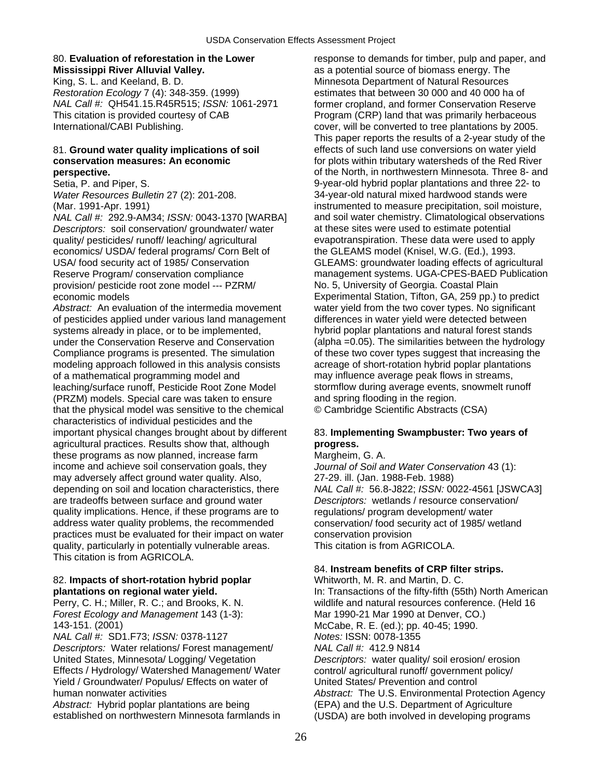### 80. **Evaluation of reforestation in the Lower** response to demands for timber, pulp and paper, and

King, S. L. and Keeland, B. D. Minnesota Department of Natural Resources *Restoration Ecology* 7 (4): 348-359. (1999) estimates that between 30 000 and 40 000 ha of *NAL Call #:* QH541.15.R45R515; *ISSN:* 1061-2971 former cropland, and former Conservation Reserve This citation is provided courtesy of CAB Program (CRP) land that was primarily herbaceous International/CABI Publishing. The cover, will be converted to tree plantations by 2005.

*Descriptors:* soil conservation/ groundwater/ water at these sites were used to estimate potential quality/ pesticides/ runoff/ leaching/ agricultural evapotranspiration. These data were used to apply economics/ USDA/ federal programs/ Corn Belt of the GLEAMS model (Knisel, W.G. (Ed.), 1993. USA/ food security act of 1985/ Conservation GLEAMS: groundwater loading effects of agricultural provision/ pesticide root zone model --- PZRM/ No. 5, University of Georgia. Coastal Plain economic models Experimental Station, Tifton, GA, 259 pp.) to predict

*Abstract:* An evaluation of the intermedia movement water yield from the two cover types. No significant of pesticides applied under various land management differences in water yield were detected between systems already in place, or to be implemented, hybrid poplar plantations and natural forest stands under the Conservation Reserve and Conservation (alpha =0.05). The similarities between the hydrology Compliance programs is presented. The simulation of these two cover types suggest that increasing the modeling approach followed in this analysis consists acreage of short-rotation hybrid poplar plantations of a mathematical programming model and may influence average peak flows in streams, leaching/surface runoff, Pesticide Root Zone Model stormflow during average events, snowmelt runoff (PRZM) models. Special care was taken to ensure and spring flooding in the region. that the physical model was sensitive to the chemical © Cambridge Scientific Abstracts (CSA) characteristics of individual pesticides and the important physical changes brought about by different 83. **Implementing Swampbuster: Two years of**  agricultural practices. Results show that, although **progress.** these programs as now planned, increase farm Margheim, G. A. income and achieve soil conservation goals, they *Journal of Soil and Water Conservation* 43 (1): may adversely affect ground water quality. Also, 27-29. ill. (Jan. 1988-Feb. 1988) depending on soil and location characteristics, there *NAL Call #:* 56.8-J822; *ISSN:* 0022-4561 [JSWCA3] are tradeoffs between surface and ground water *Descriptors:* wetlands / resource conservation/ quality implications. Hence, if these programs are to regulations/ program development/ water address water quality problems, the recommended conservation/ food security act of 1985/ wetland practices must be evaluated for their impact on water conservation provision quality, particularly in potentially vulnerable areas. This citation is from AGRICOLA. This citation is from AGRICOLA.

## 82. **Impacts of short-rotation hybrid poplar** Whitworth, M. R. and Martin, D. C.

*Forest Ecology and Management* 143 (1-3): Mar 1990-21 Mar 1990 at Denver, CO.) 143-151. (2001) McCabe, R. E. (ed.); pp. 40-45; 1990.

*NAL Call #:* SD1.F73; *ISSN:* 0378-1127 *Notes:* ISSN: 0078-1355

*Descriptors:* Water relations/ Forest management/ *NAL Call #:* 412.9 N814 United States, Minnesota/ Logging/ Vegetation *Descriptors:* water quality/ soil erosion/ erosion<br>Effects / Hydrology/ Watershed Management/ Water control/ agricultural runoff/ government policy/ Effects / Hydrology/ Watershed Management/ Water control/ agricultural runoff/ governmen<br>Tield / Groundwater/ Populus/ Effects on water of Cultied States/ Prevention and control Yield / Groundwater/ Populus/ Effects on water of

Abstract: Hybrid poplar plantations are being (EPA) and the U.S. Department of Agriculture<br>
established on northwestern Minnesota farmlands in (USDA) are both involved in developing program

**Mississippi River Alluvial Valley. Alluvial Valley. as a potential source of biomass energy. The** This paper reports the results of a 2-year study of the 81. **Ground water quality implications of soil** effects of such land use conversions on water yield **conservation measures: An economic** for plots within tributary watersheds of the Red River **perspective. being the North Control** of the North, in northwestern Minnesota. Three 8- and Setia, P. and Piper, S. 6. 9-year-old hybrid poplar plantations and three 22- to *Water Resources Bulletin* 27 (2): 201-208. 34-year-old natural mixed hardwood stands were (Mar. 1991-Apr. 1991) instrumented to measure precipitation, soil moisture, *NAL Call #:* 292.9-AM34; *ISSN:* 0043-1370 [WARBA] and soil water chemistry. Climatological observations Reserve Program/ conservation compliance management systems. UGA-CPES-BAED Publication

### 84. **Instream benefits of CRP filter strips.**

**plantations on regional water yield.** In: Transactions of the fifty-fifth (55th) North American Perry, C. H.; Miller, R. C.; and Brooks, K. N. wildlife and natural resources conference. (Held 16 human nonwater activities *Abstract:* The U.S. Environmental Protection Agency (USDA) are both involved in developing programs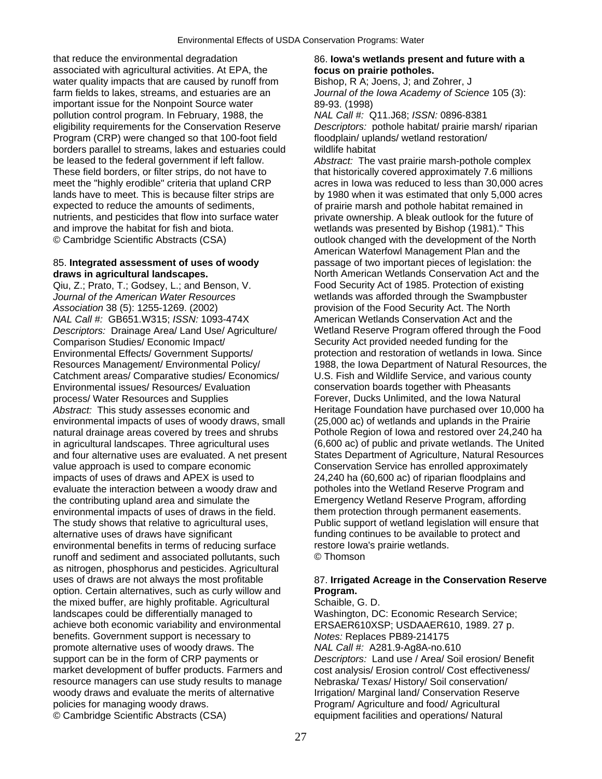that reduce the environmental degradation 86. **Iowa's wetlands present and future with a**  associated with agricultural activities. At EPA, the **focus on prairie potholes.**  water quality impacts that are caused by runoff from Bishop, R A; Joens, J; and Zohrer, J farm fields to lakes, streams, and estuaries are an *Journal of the Iowa Academy of Science* 105 (3): important issue for the Nonpoint Source water 89-93. (1998) pollution control program. In February, 1988, the *NAL Call #:* Q11.J68; *ISSN:* 0896-8381 eligibility requirements for the Conservation Reserve *Descriptors:* pothole habitat/ prairie marsh/ riparian Program (CRP) were changed so that 100-foot field floodplain/ uplands/ wetland restoration/ borders parallel to streams, lakes and estuaries could wildlife habitat be leased to the federal government if left fallow. *Abstract:* The vast prairie marsh-pothole complex These field borders, or filter strips, do not have to that historically covered approximately 7.6 millions meet the "highly erodible" criteria that upland CRP acres in Iowa was reduced to less than 30,000 acres lands have to meet. This is because filter strips are by 1980 when it was estimated that only 5,000 acres expected to reduce the amounts of sediments, only of prairie marsh and pothole habitat remained in nutrients, and pesticides that flow into surface water private ownership. A bleak outlook for the future of and improve the habitat for fish and biota. wetlands was presented by Bishop (1981)." This © Cambridge Scientific Abstracts (CSA) outlook changed with the development of the North

*Journal of the American Water Resources* wetlands was afforded through the Swampbuster *Association* 38 (5): 1255-1269. (2002) provision of the Food Security Act. The North *NAL Call #:* GB651.W315; *ISSN:* 1093-474X American Wetlands Conservation Act and the *Descriptors:* Drainage Area/ Land Use/ Agriculture/ Wetland Reserve Program offered through the Food Comparison Studies/ Economic Impact/ Security Act provided needed funding for the Environmental Effects/ Government Supports/ protection and restoration of wetlands in Iowa. Since Resources Management/ Environmental Policy/ 1988, the Iowa Department of Natural Resources, the Catchment areas/ Comparative studies/ Economics/ U.S. Fish and Wildlife Service, and various county Environmental issues/ Resources/ Evaluation conservation boards together with Pheasants process/ Water Resources and Supplies Forever, Ducks Unlimited, and the Iowa Natural Abstract: This study assesses economic and **Heritage Foundation have purchased over 10,000 ha** environmental impacts of uses of woody draws, small (25,000 ac) of wetlands and uplands in the Prairie natural drainage areas covered by trees and shrubs Pothole Region of Iowa and restored over 24,240 ha in agricultural landscapes. Three agricultural uses (6,600 ac) of public and private wetlands. The United and four alternative uses are evaluated. A net present States Department of Agriculture, Natural Resources value approach is used to compare economic Conservation Service has enrolled approximately impacts of uses of draws and APEX is used to 24,240 ha (60,600 ac) of riparian floodplains and evaluate the interaction between a woody draw and potholes into the Wetland Reserve Program and the contributing upland area and simulate the Emergency Wetland Reserve Program, affording environmental impacts of uses of draws in the field. them protection through permanent easements. The study shows that relative to agricultural uses, Public support of wetland legislation will ensure that alternative uses of draws have significant funding continues to be available to protect and environmental benefits in terms of reducing surface restore Iowa's prairie wetlands. runoff and sediment and associated pollutants, such © Thomson as nitrogen, phosphorus and pesticides. Agricultural uses of draws are not always the most profitable 87. **Irrigated Acreage in the Conservation Reserve**  option. Certain alternatives, such as curly willow and **Program.**  the mixed buffer, are highly profitable. Agricultural Schaible, G. D. landscapes could be differentially managed to Washington, DC: Economic Research Service; achieve both economic variability and environmental ERSAER610XSP; USDAAER610, 1989. 27 p. benefits. Government support is necessary to *Notes:* Replaces PB89-214175 promote alternative uses of woody draws. The *NAL Call #:* A281.9-Ag8A-no.610 support can be in the form of CRP payments or *Descriptors:* Land use / Area/ Soil erosion/ Benefit market development of buffer products. Farmers and cost analysis/ Erosion control/ Cost effectiveness/ resource managers can use study results to manage Nebraska/ Texas/ History/ Soil conservation/ woody draws and evaluate the merits of alternative **Irrigation/ Marginal land/ Conservation Reserve** policies for managing woody draws. Program/ Agriculture and food/ Agricultural © Cambridge Scientific Abstracts (CSA) equipment facilities and operations/ Natural

American Waterfowl Management Plan and the 85. **Integrated assessment of uses of woody** passage of two important pieces of legislation: the **draws in agricultural landscapes.** North American Wetlands Conservation Act and the Qiu, Z.; Prato, T.; Godsey, L.; and Benson, V. Food Security Act of 1985. Protection of existing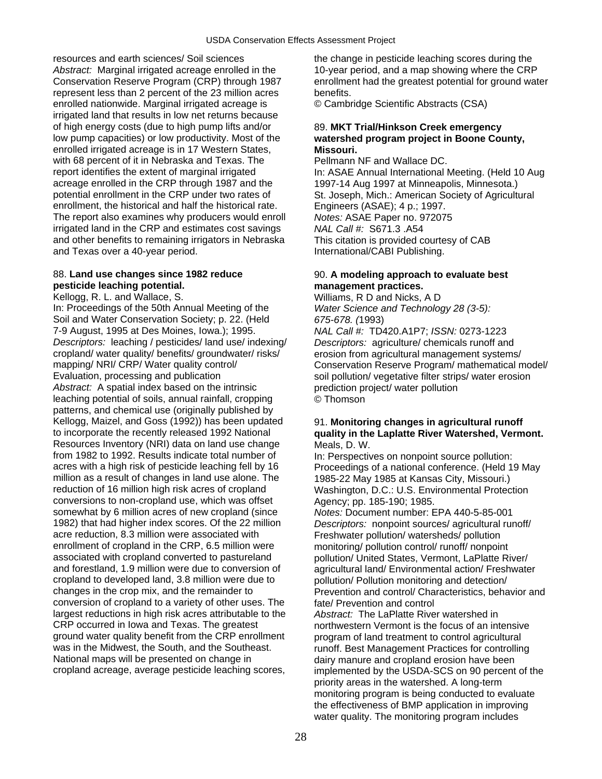resources and earth sciences/ Soil sciences the change in pesticide leaching scores during the Abstract: Marginal irrigated acreage enrolled in the 10-year period, and a map showing where the CRP<br>Conservation Reserve Program (CRP) through 1987 enrollment had the greatest potential for ground wat represent less than 2 percent of the 23 million acres benefits. enrolled nationwide. Marginal irrigated acreage is © Cambridge Scientific Abstracts (CSA) irrigated land that results in low net returns because of high energy costs (due to high pump lifts and/or 89. **MKT Trial/Hinkson Creek emergency**  low pump capacities) or low productivity. Most of the **watershed program project in Boone County,**  enrolled irrigated acreage is in 17 Western States, **Missouri.** with 68 percent of it in Nebraska and Texas. The Pellmann NF and Wallace DC. report identifies the extent of marginal irrigated In: ASAE Annual International Meeting. (Held 10 Aug acreage enrolled in the CRP through 1987 and the 1997-14 Aug 1997 at Minneapolis, Minnesota.)<br>
potential enrollment in the CRP under two rates of St. Joseph. Mich.: American Society of Agricultu enrollment, the historical and half the historical rate. Engineers (ASAE); 4 p.; 1997. The report also examines why producers would enroll *Notes:* ASAE Paper no. 972075 irrigated land in the CRP and estimates cost savings *NAL Call #:* S671.3 .A54 and other benefits to remaining irrigators in Nebraska This citation is provided courtesy of CAB and Texas over a 40-year period. The state of the laternational/CABI Publishing.

## **pesticide leaching potential. management practices.**

In: Proceedings of the 50th Annual Meeting of the *Water Science and Technology 28 (3-5):*  Soil and Water Conservation Society; p. 22. (Held *675-678. (*1993) 7-9 August, 1995 at Des Moines, Iowa.); 1995. *NAL Call #:* TD420.A1P7; *ISSN:* 0273-1223 *Descriptors:* leaching / pesticides/ land use/ indexing/ *Descriptors:* agriculture/ chemicals runoff and cropland/ water quality/ benefits/ groundwater/ risks/ erosion from agricultural management systems/ mapping/ NRI/ CRP/ Water quality control/ Conservation Reserve Program/ mathematical model/ Evaluation, processing and publication soil pollution/ vegetative filter strips/ water erosion Abstract: A spatial index based on the intrinsic prediction project/ water pollution leaching potential of soils, annual rainfall, cropping © Thomson patterns, and chemical use (originally published by Kellogg, Maizel, and Goss (1992)) has been updated 91. **Monitoring changes in agricultural runoff**<br>to incorporate the recently released 1992 National **auality in the Laplatte River Watershed. Verm** Resources Inventory (NRI) data on land use change Meals, D. W. from 1982 to 1992. Results indicate total number of In: Perspectives on nonpoint source pollution:<br>Acres with a high risk of pesticide leaching fell by 16 Proceedings of a national conference. (Held 19) million as a result of changes in land use alone. The 1985-22 May 1985 at Kansas City, Missouri.)<br>
reduction of 16 million high risk acres of cropland Vashington, D.C.: U.S. Environmental Protect conversions to non-cropland use, which was offset Agency; pp. 185-190; 1985. somewhat by 6 million acres of new cropland (since *Notes:* Document number: EPA 440-5-85-001 acre reduction, 8.3 million were associated with Freshwater pollution/ watersheds/ pollution<br>
enrollment of cropland in the CRP, 6.5 million were monitoring/ pollution control/ runoff/ nonpoir enrollment of cropland in the CRP, 6.5 million were monitoring/ pollution control/ runoff/ nonpoint associated with cropland converted to pastureland pollution/ United States. Vermont. LaPlatte Ri and forestland, 1.9 million were due to conversion of agricultural land/ Environmental action/ Freshwater cropland to developed land, 3.8 million were due to pollution/ Pollution monitoring and detection/<br>
changes in the crop mix, and the remainder to Prevention and control/ Characteristics, beha conversion of cropland to a variety of other uses. The fate/ Prevention and control largest reductions in high risk acres attributable to the *Abstract:* The LaPlatte River watershed in CRP occurred in Iowa and Texas. The greatest northwestern Vermont is the focus of an intensive ground water quality benefit from the CRP enrollment program of land treatment to control agricultural was in the Midwest, the South, and the Southeast. The runoff. Best Management Practices for controlling<br>National maps will be presented on change in the dairy manure and cropland erosion have been National maps will be presented on change in dairy manure and cropland erosion have been<br>cropland acreage, average pesticide leaching scores, implemented by the USDA-SCS on 90 percent

enrollment had the greatest potential for ground water

St. Joseph, Mich.: American Society of Agricultural

## 88. **Land use changes since 1982 reduce** 90. **A modeling approach to evaluate best**

Kellogg, R. L. and Wallace, S. The Mulliams, R D and Nicks, A D

# quality in the Laplatte River Watershed, Vermont.

Proceedings of a national conference. (Held 19 May Washington, D.C.: U.S. Environmental Protection Descriptors: nonpoint sources/ agricultural runoff/ pollution/ United States, Vermont, LaPlatte River/ Prevention and control/ Characteristics, behavior and implemented by the USDA-SCS on 90 percent of the priority areas in the watershed. A long-term monitoring program is being conducted to evaluate the effectiveness of BMP application in improving water quality. The monitoring program includes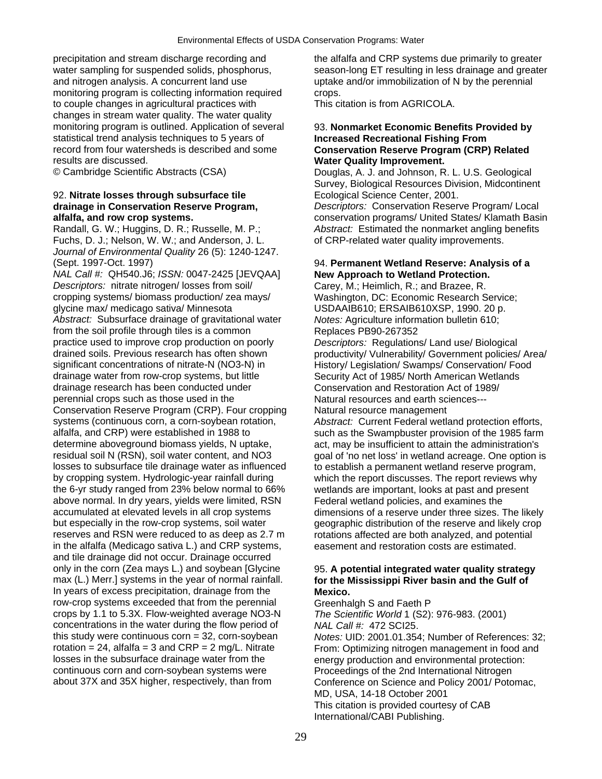precipitation and stream discharge recording and the alfalfa and CRP systems due primarily to greater and nitrogen analysis. A concurrent land use uptake and/or immobilization of N by the perennial monitoring program is collecting information required crops. to couple changes in agricultural practices with This citation is from AGRICOLA. changes in stream water quality. The water quality monitoring program is outlined. Application of several 93. **Nonmarket Economic Benefits Provided by**  statistical trend analysis techniques to 5 years of **Increased Recreational Fishing From**  record from four watersheds is described and some **Conservation Reserve Program (CRP) Related**  results are discussed. **Water Quality Improvement.** 

### 92. **Nitrate losses through subsurface tile** Ecological Science Center, 2001. **drainage in Conservation Reserve Program,** *Descriptors:* Conservation Reserve Program/ Local

Randall, G. W.; Huggins, D. R.; Russelle, M. P.; *Abstract:* Estimated the nonmarket angling benefits Fuchs, D. J.; Nelson, W. W.; and Anderson, J. L. of CRP-related water quality improvements. *Journal of Environmental Quality* 26 (5): 1240-1247. (Sept. 1997-Oct. 1997) 94. **Permanent Wetland Reserve: Analysis of a** 

*NAL Call #:* QH540.J6; *ISSN:* 0047-2425 [JEVQAA] **New Approach to Wetland Protection.**  *Descriptors:* nitrate nitrogen/ losses from soil/ Carey, M.; Heimlich, R.; and Brazee, R. cropping systems/ biomass production/ zea mays/ Washington, DC: Economic Research Service;<br>
qlycine max/ medicago sativa/ Minnesota USDAAIB610: ERSAIB610XSP, 1990, 20 p. *Abstract:* Subsurface drainage of gravitational water *Notes:* Agriculture information bulletin 610; from the soil profile through tiles is a common<br>
practice used to improve crop production on poorly<br>
Descriptors: Regulations/Land use/Biological practice used to improve crop production on poorly significant concentrations of nitrate-N (NO3-N) in History/ Legislation/ Swamps/ Conservation/ Food drainage water from row-crop systems, but little Security Act of 1985/ North American Wetlands drainage research has been conducted under Conservation and Restoration Act of 1989/ perennial crops such as those used in the Natural resources and earth sciences--- Conservation Reserve Program (CRP). Four cropping Natural resource management systems (continuous corn, a corn-soybean rotation, Abstract: Current Federal wetla alfalfa, and CRP) were established in 1988 to such as the Swampbuster provision of the 1985 farm determine aboveground biomass yields, N uptake, act, may be insufficient to attain the administration's losses to subsurface tile drainage water as influenced to establish a permanent wetland reserve program, by cropping system. Hydrologic-year rainfall during which the report discusses. The report reviews why the 6-yr study ranged from 23% below normal to 66% wetlands are important, looks at past and present above normal. In dry years, yields were limited, RSN Federal wetland policies, and examines the accumulated at elevated levels in all crop systems dimensions of a reserve under three sizes. The likely but especially in the row-crop systems, soil water geographic distribution of the reserve and likely crop reserves and RSN were reduced to as deep as 2.7 m rotations affected are both analyzed, and potential in the alfalfa (Medicago sativa L.) and CRP systems, easement and restoration costs are estimated. and tile drainage did not occur. Drainage occurred only in the corn (Zea mays L.) and soybean [Glycine 95. A potential integrated water quality strategy max (L.) Merr.] systems in the year of normal rainfall. **6. The Mississippi River basin and the Gulf of** In years of excess precipitation, drainage from the **Mexico.**<br> **Nexico.**<br>
Greenhalgh S and Faeth P row-crop systems exceeded that from the perennial crops by 1.1 to 5.3X. Flow-weighted average NO3-N *The Scientific World* 1 (S2): 976-983. (2001) concentrations in the water during the flow period of *NAL Call #:* 472 SCI25. this study were continuous corn = 32, corn-soybean *Notes:* UID: 2001.01.354; Number of References: 32; rotation = 24, alfalfa = 3 and CRP = 2 mg/L. Nitrate From: Optimizing nitrogen management in food and<br>losses in the subsurface drainage water from the energy production and environmental protection: losses in the subsurface drainage water from the energy production and environmental protection:<br>
continuous corn and corn-soybean systems were<br>
Proceedings of the 2nd International Nitrogen continuous corn and corn-soybean systems were Proceedings of the 2nd International Nitrogen<br>
about 37X and 35X higher, respectively, than from Conference on Science and Policy 2001/ Poto

water sampling for suspended solids, phosphorus, season-long ET resulting in less drainage and greater

© Cambridge Scientific Abstracts (CSA) Douglas, A. J. and Johnson, R. L. U.S. Geological Survey, Biological Resources Division, Midcontinent

**alfalfa, and row crop systems.** conservation programs/ United States/ Klamath Basin

USDAAIB610; ERSAIB610XSP, 1990. 20 p.

drained soils. Previous research has often shown productivity/ Vulnerability/ Government policies/ Area/

Abstract: Current Federal wetland protection efforts, residual soil N (RSN), soil water content, and NO3 goal of 'no net loss' in wetland acreage. One option is

# for the Mississippi River basin and the Gulf of

Conference on Science and Policy 2001/ Potomac, MD, USA, 14-18 October 2001 This citation is provided courtesy of CAB International/CABI Publishing.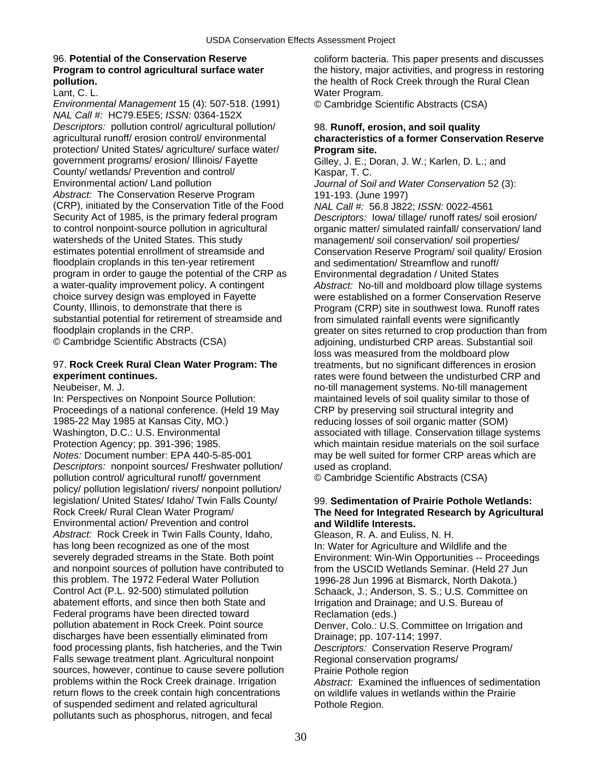*Environmental Management* 15 (4): 507-518. (1991) © Cambridge Scientific Abstracts (CSA) *NAL Call #:* HC79.E5E5; *ISSN:* 0364-152X *Descriptors:* pollution control/ agricultural pollution/ 98. **Runoff, erosion, and soil quality**  protection/ United States/ agriculture/ surface water/ **Program site.**  government programs/ erosion/ Illinois/ Fayette Gilley, J. E.; Doran, J. W.; Karlen, D. L.; and County/ wetlands/ Prevention and control/ **Kaspar, T. C.**<br>
Environmental action/ Land pollution *Journal of So Abstract:* The Conservation Reserve Program 191-193. (June 1997) (CRP), initiated by the Conservation Title of the Food *NAL Call #:* 56.8 J822; *ISSN:* 0022-4561 watersheds of the United States. This study management/ soil conservation/ soil properties/<br>estimates potential enrollment of streamside and Conservation Reserve Program/ soil quality/ Erg floodplain croplands in this ten-year retirement and sedimentation/ Streamflow and runoff/ program in order to gauge the potential of the CRP as Environmental degradation / United States substantial potential for retirement of streamside and from simulated rainfall events were significantly<br>floodplain croplands in the CRP.<br>greater on sites returned to crop production than

## 97. **Rock Creek Rural Clean Water Program: The** treatments, but no significant differences in erosion

In: Perspectives on Nonpoint Source Pollution: maintained levels of soil quality similar to those of Proceedings of a national conference. (Held 19 May CRP by preserving soil structural integrity and 1985-22 May 1985 at Kansas City, MO.) Washington, D.C.: U.S. Environmental and associated with tillage. Conservation tillage systems Protection Agency; pp. 391-396; 1985. which maintain residue materials on the soil surface *Notes:* Document number: EPA 440-5-85-001 may be well suited for former CRP areas which are *Descriptors:* nonpoint sources/ Freshwater pollution/ used as cropland. pollution control/ agricultural runoff/ government © Cambridge Scientific Abstracts (CSA) policy/ pollution legislation/ rivers/ nonpoint pollution/ legislation/ United States/ Idaho/ Twin Falls County/ 99. **Sedimentation of Prairie Pothole Wetlands:**  Rock Creek/ Rural Clean Water Program/ **The Need for Integrated Research by Agricultural**  Environmental action/ Prevention and control **and Wildlife Interests.** *Abstract:* Rock Creek in Twin Falls County, Idaho, Gleason, R. A. and Euliss, N. H.<br>has long been recognized as one of the most ln: Water for Agriculture and Wild has long been recognized as one of the most In: Water for Agriculture and Wildlife and the<br>Severely degraded streams in the State. Both point Environment: Win-Win Opportunities -- Proce severely degraded streams in the State. Both point Environment: Win-Win Opportunities -- Proceedings<br>and nonpoint sources of pollution have contributed to from the USCID Wetlands Seminar. (Held 27 Jun this problem. The 1972 Federal Water Pollution 1996-28 Jun 1996 at Bismarck, North Dakota.) Control Act (P.L. 92-500) stimulated pollution Schaack, J.; Anderson, S. S.; U.S. Committee on abatement efforts, and since then both State and Irrigation and Drainage; and U.S. Bureau of Federal programs have been directed toward Reclamation (eds.) pollution abatement in Rock Creek. Point source Denver, Colo.: U.S. Committee on Irrigation and discharges have been essentially eliminated from Drainage; pp. 107-114; 1997. food processing plants, fish hatcheries, and the Twin *Descriptors:* Conservation Reserve Program/ Falls sewage treatment plant. Agricultural nonpoint Regional conservation programs/<br>sources, however, continue to cause severe pollution Prairie Pothole region sources, however, continue to cause severe pollution problems within the Rock Creek drainage. Irrigation *Abstract:* Examined the influences of sedimentation return flows to the creek contain high concentrations on wildlife values in wetlands within the Prairie of suspended sediment and related agricultural Pothole Region. pollutants such as phosphorus, nitrogen, and fecal

96. **Potential of the Conservation Reserve** coliform bacteria. This paper presents and discusses **Program to control agricultural surface water** the history, major activities, and progress in restoring **pollution.**<br>
Lant, C. L.<br>
Lant, C. L. Water Program.

# agricultural runoff/ erosion control/ environmental **characteristics of a former Conservation Reserve**

Journal of Soil and Water Conservation 52 (3):

Security Act of 1985, is the primary federal program *Descriptors:* Iowa/ tillage/ runoff rates/ soil erosion/<br>
to control nonpoint-source pollution in agricultural organic matter/ simulated rainfall/ conservation/ land organic matter/ simulated rainfall/ conservation/ land Conservation Reserve Program/ soil quality/ Erosion a water-quality improvement policy. A contingent *Abstract:* No-till and moldboard plow tillage systems choice survey design was employed in Fayette were established on a former Conservation Reserve<br>County, Illinois, to demonstrate that there is **repared as Forman (CRP)** site in southwest lowa. Runoff rates Program (CRP) site in southwest Iowa. Runoff rates floodplain croplands in the CRP.<br>
© Cambridge Scientific Abstracts (CSA) example adioining, undisturbed CRP areas. Substantial soil adjoining, undisturbed CRP areas. Substantial soil loss was measured from the moldboard plow **experiment continues.** The same of the understanding the understanding of the undisturbed CRP and separate in the understanding of the understanding of the understanding of the understanding of the understanding of the un Neubeiser, M. J. no-till management systems. No-till management reducing losses of soil organic matter (SOM)

from the USCID Wetlands Seminar. (Held 27 Jun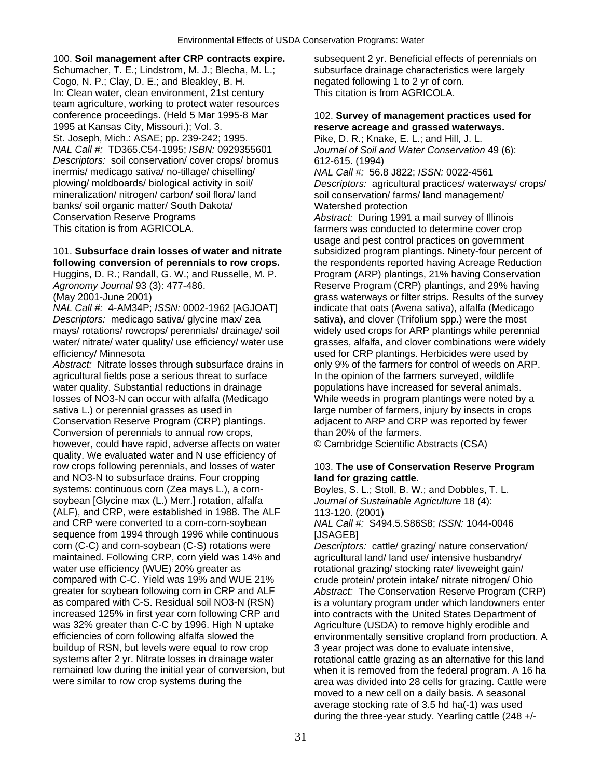### 100. **Soil management after CRP contracts expire.** Subsequent 2 yr. Beneficial effects of perennials on

Schumacher, T. E.; Lindstrom, M. J.; Blecha, M. L.; subsurface drainage characteristics were largely Cogo, N. P.; Clay, D. E.; and Bleakley, B. H. https://egated following 1 to 2 yr of corn. In: Clean water, clean environment, 21st century This citation is from AGRICOLA. team agriculture, working to protect water resources conference proceedings. (Held 5 Mar 1995-8 Mar 102. **Survey of management practices used for** 1995 at Kansas City, Missouri.); Vol. 3. St. Joseph, Mich.: ASAE; pp. 239-242; 1995. Pike, D. R.; Knake, E. L.; and Hill, J. L. *NAL Call #:* TD365.C54-1995; *ISBN:* 0929355601 *Journal of Soil and Water Conservation* 49 (6): *Descriptors:* soil conservation/ cover crops/ bromus 612-615. (1994) inermis/ medicago sativa/ no-tillage/ chiselling/ *NAL Call #:* 56.8 J822; *ISSN:* 0022-4561 banks/ soil organic matter/ South Dakota/ Watershed protection Conservation Reserve Programs *Abstract:* During 1991 a mail survey of Illinois

*Descriptors:* medicago sativa/ glycine max/ zea sativa), and clover (Trifolium spp.) were the most mays/ rotations/ rowcrops/ perennials/ drainage/ soil widely used crops for ARP plantings while perennial efficiency/ Minnesota used for CRP plantings. Herbicides were used by

Abstract: Nitrate losses through subsurface drains in only 9% of the farmers for control of weeds on ARP. agricultural fields pose a serious threat to surface In the opinion of the farmers surveyed, wildlife water quality. Substantial reductions in drainage populations have increased for several animals. losses of NO3-N can occur with alfalfa (Medicago While weeds in program plantings were noted by a sativa L.) or perennial grasses as used in large number of farmers, injury by insects in crops Conservation Reserve Program (CRP) plantings. adjacent to ARP and CRP was reported by fewer Conversion of perennials to annual row crops, than 20% of the farmers. however, could have rapid, adverse affects on water © Cambridge Scientific Abstracts (CSA) quality. We evaluated water and N use efficiency of row crops following perennials, and losses of water 103. **The use of Conservation Reserve Program**  and NO3-N to subsurface drains. Four cropping **land for grazing cattle.**  systems: continuous corn (Zea mays L.), a corn-<br>Boyles, S. L.; Stoll, B. W.; and Dobbles, T. L. soybean [Glycine max (L.) Merr.] rotation, alfalfa *Journal of Sustainable Agriculture* 18 (4): (ALF), and CRP, were established in 1988. The ALF 113-120. (2001) and CRP were converted to a corn-corn-soybean *NAL Call #:* S494.5.S86S8; *ISSN:* 1044-0046 sequence from 1994 through 1996 while continuous [JSAGEB]<br>corn (C-C) and corn-soybean (C-S) rotations were Descriptors maintained. Following CRP, corn yield was 14% and agricultural land/ land use/ intensive husbandry/ water use efficiency (WUE) 20% greater as rotational grazing/ stocking rate/ liveweight gain/<br>compared with C-C. Yield was 19% and WUE 21% roude protein/ protein intake/ nitrate nitrogen/ Ohi greater for soybean following corn in CRP and ALF *Abstract:* The Conservation Reserve Program (CRP) as compared with C-S. Residual soil NO3-N (RSN) is a voluntary program under which landowners enter increased 125% in first year corn following CRP and into contracts with the United States Department of was 32% greater than C-C by 1996. High N uptake Agriculture (USDA) to remove highly erodible and efficiencies of corn following alfalfa slowed the environmentally sensitive cropland from production. A buildup of RSN, but levels were equal to row crop 3 year project was done to evaluate intensive, systems after 2 yr. Nitrate losses in drainage water rotational cattle grazing as an alternative for this land remained low during the initial year of conversion, but when it is removed from the federal program. A 16 ha<br>were similar to row crop systems during the a rea was divided into 28 cells for grazing. Cattle were

## reserve acreage and grassed waterways.

plowing/ moldboards/ biological activity in soil/ *Descriptors:* agricultural practices/ waterways/ crops/ soil conservation/ farms/ land management/

farmers was conducted to determine cover crop usage and pest control practices on government 101. **Subsurface drain losses of water and nitrate** subsidized program plantings. Ninety-four percent of **following conversion of perennials to row crops.** the respondents reported having Acreage Reduction Huggins, D. R.; Randall, G. W.; and Russelle, M. P. Program (ARP) plantings, 21% having Conservation Agronomy Journal 93 (3): 477-486. Reserve Program (CRP) plantings, and 29% having (May 2001-June 2001)<br>
MAL Call #: 4-AM34P; ISSN: 0002-1962 [AGJOAT] indicate that oats (Avena sativa), alfalfa (Medicago *indicate that oats (Avena sativa), alfalfa (Medicago* water/ nitrate/ water quality/ use efficiency/ water use grasses, alfalfa, and clover combinations were widely

Descriptors: cattle/ grazing/ nature conservation/ crude protein/ protein intake/ nitrate nitrogen/ Ohio area was divided into 28 cells for grazing. Cattle were moved to a new cell on a daily basis. A seasonal average stocking rate of 3.5 hd ha(-1) was used during the three-year study. Yearling cattle (248 +/-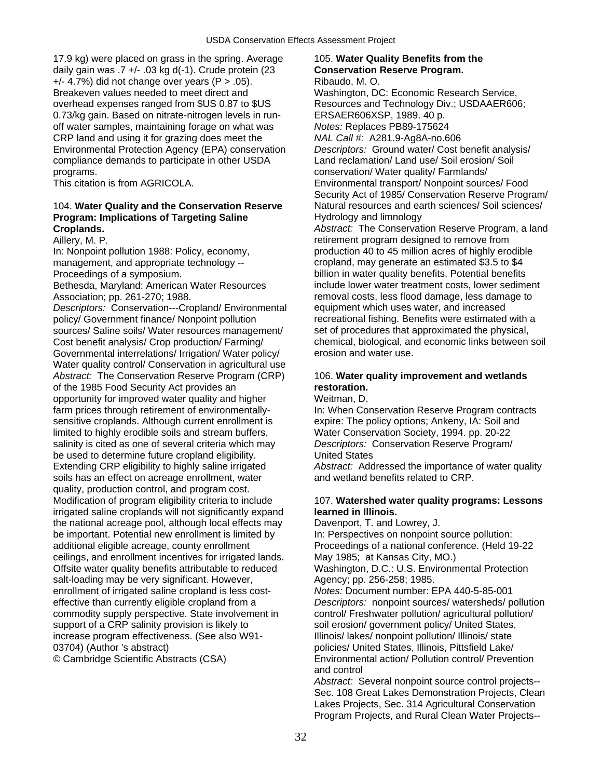17.9 kg) were placed on grass in the spring. Average 105. **Water Quality Benefits from the**  daily gain was .7 +/- .03 kg d(-1). Crude protein (23 **Conservation Reserve Program.**   $+/- 4.7%$ ) did not change over years (P > .05). Ribaudo, M.O. Breakeven values needed to meet direct and Washington, DC: Economic Research Service, overhead expenses ranged from \$US 0.87 to \$US Resources and Technology Div.; USDAAER606; 0.73/kg gain. Based on nitrate-nitrogen levels in run- ERSAER606XSP, 1989. 40 p. off water samples, maintaining forage on what was *Notes:* Replaces PB89-175624 CRP land and using it for grazing does meet the *NAL Call #:* A281.9-Ag8A-no.606 Environmental Protection Agency (EPA) conservation *Descriptors:* Ground water/ Cost benefit analysis/ compliance demands to participate in other USDA Land reclamation/ Land use/ Soil erosion/ Soil programs. conservation/ Water quality/ Farmlands/

### **Program: Implications of Targeting Saline**  Hydrology and limnology **Croplands.** *Abstract:* The Conservation Reserve Program, a land

Bethesda, Maryland: American Water Resources include lower water treatment costs, lower sediment

*Descriptors:* Conservation---Cropland/ Environmental policy/ Government finance/ Nonpoint pollution recreational fishing. Benefits were estimated with a<br>sources/ Saline soils/ Water resources management/ set of procedures that approximated the physical. sources/ Saline soils/ Water resources management/ Governmental interrelations/ Irrigation/ Water policy/ erosion and water use. Water quality control/ Conservation in agricultural use *Abstract:* The Conservation Reserve Program (CRP) 106. **Water quality improvement and wetlands**  of the 1985 Food Security Act provides an **restoration.**  opportunity for improved water quality and higher Weitman, D. farm prices through retirement of environmentally- In: When Conservation Reserve Program contracts sensitive croplands. Although current enrollment is expire: The policy options; Ankeny, IA: Soil and limited to highly erodible soils and stream buffers, Water Conservation Society, 1994. pp. 20-22 salinity is cited as one of several criteria which may *Descriptors:* Conservation Reserve Program/ be used to determine future cropland eligibility. United States Extending CRP eligibility to highly saline irrigated *Abstract:* Addressed the importance of water quality soils has an effect on acreage enrollment, water and wetland benefits related to CRP. quality, production control, and program cost. Modification of program eligibility criteria to include 107. **Watershed water quality programs: Lessons**  irrigated saline croplands will not significantly expand **learned in Illinois.** the national acreage pool, although local effects may Davenport, T. and Lowrey, J. be important. Potential new enrollment is limited by In: Perspectives on nonpoint source pollution: additional eligible acreage, county enrollment Proceedings of a national conference. (Held 19-22 ceilings, and enrollment incentives for irrigated lands. May 1985; at Kansas City, MO.) Offsite water quality benefits attributable to reduced Washington, D.C.: U.S. Environmental Protection salt-loading may be very significant. However, Agency; pp. 256-258; 1985. enrollment of irrigated saline cropland is less cost- *Notes:* Document number: EPA 440-5-85-001 effective than currently eligible cropland from a *Descriptors:* nonpoint sources/ watersheds/ pollution commodity supply perspective. State involvement in control/ Freshwater pollution/ agricultural pollution/ support of a CRP salinity provision is likely to soil erosion/ government policy/ United States, increase program effectiveness. (See also W91- Illinois/ lakes/ nonpoint pollution/ Illinois/ state 03704) (Author 's abstract) **policies** bolicies/ United States, Illinois, Pittsfield Lake/

This citation is from AGRICOLA. Environmental transport/ Nonpoint sources/ Food Security Act of 1985/ Conservation Reserve Program/ 104. **Water Quality and the Conservation Reserve** Natural resources and earth sciences/ Soil sciences/ Aillery, M. P. Contract the contract of the retirement program designed to remove from In: Nonpoint pollution 1988: Policy, economy, production 40 to 45 million acres of highly erodible management, and appropriate technology -- cropland, may generate an estimated \$3.5 to \$4 Proceedings of a symposium. **billion** in water quality benefits. Potential benefits

Association; pp. 261-270; 1988. removal costs, less flood damage, less damage to Descriptors: Conservation--Cropland/Environmental equipment which uses water, and increased Cost benefit analysis/ Crop production/ Farming/ chemical, biological, and economic links between soil

© Cambridge Scientific Abstracts (CSA) Environmental action/ Pollution control/ Prevention and control

*Abstract:* Several nonpoint source control projects-- Sec. 108 Great Lakes Demonstration Projects, Clean Lakes Projects, Sec. 314 Agricultural Conservation Program Projects, and Rural Clean Water Projects--